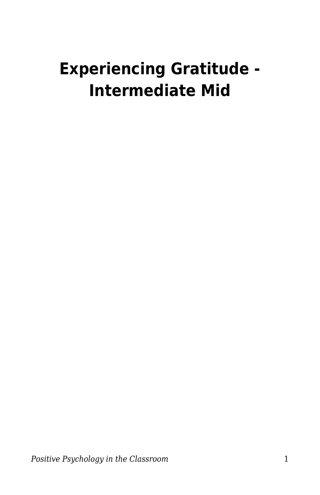# **Experiencing Gratitude - Intermediate Mid**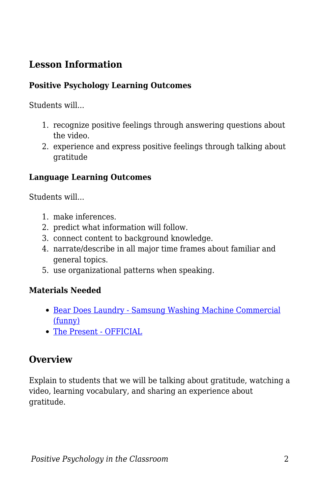## **Lesson Information**

#### **Positive Psychology Learning Outcomes**

Students will...

- 1. recognize positive feelings through answering questions about the video.
- 2. experience and express positive feelings through talking about gratitude

#### **Language Learning Outcomes**

Students will...

- 1. make inferences.
- 2. predict what information will follow.
- 3. connect content to background knowledge.
- 4. narrate/describe in all major time frames about familiar and general topics.
- 5. use organizational patterns when speaking.

#### **Materials Needed**

- [Bear Does Laundry Samsung Washing Machine Commercial](https://www.youtube.com/watch?v=WjqiU5FgsYc) [\(funny\)](https://www.youtube.com/watch?v=WjqiU5FgsYc)
- [The Present OFFICIAL](https://youtu.be/WjqiU5FgsYc)

### **Overview**

Explain to students that we will be talking about gratitude, watching a video, learning vocabulary, and sharing an experience about gratitude.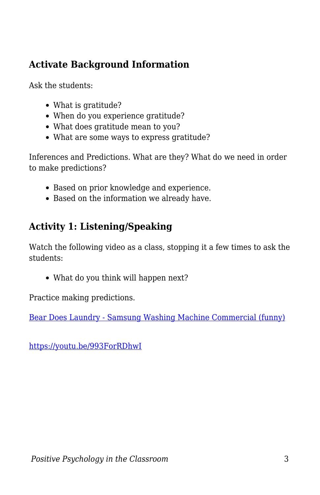## **Activate Background Information**

Ask the students:

- What is gratitude?
- When do you experience gratitude?
- What does gratitude mean to you?
- What are some ways to express gratitude?

Inferences and Predictions. What are they? What do we need in order to make predictions?

- Based on prior knowledge and experience.
- Based on the information we already have.

# **Activity 1: Listening/Speaking**

Watch the following video as a class, stopping it a few times to ask the students:

• What do you think will happen next?

Practice making predictions.

[Bear Does Laundry - Samsung Washing Machine Commercial \(funny\)](https://www.youtube.com/watch?v=WjqiU5FgsYc)

<https://youtu.be/993ForRDhwI>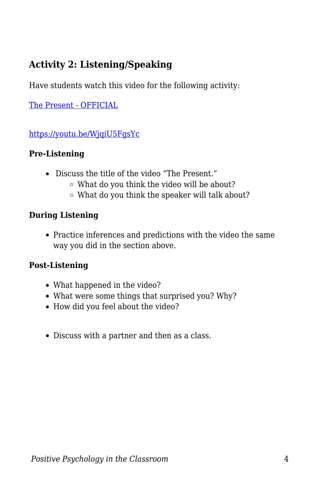## **Activity 2: Listening/Speaking**

Have students watch this video for the following activity:

[The Present - OFFICIAL](https://youtu.be/WjqiU5FgsYc)

<https://youtu.be/WjqiU5FgsYc>

#### **Pre-Listening**

- Discuss the title of the video "The Present."
	- What do you think the video will be about?
	- What do you think the speaker will talk about?

#### **During Listening**

Practice inferences and predictions with the video the same way you did in the section above.

#### **Post-Listening**

- What happened in the video?
- What were some things that surprised you? Why?
- How did you feel about the video?
- Discuss with a partner and then as a class.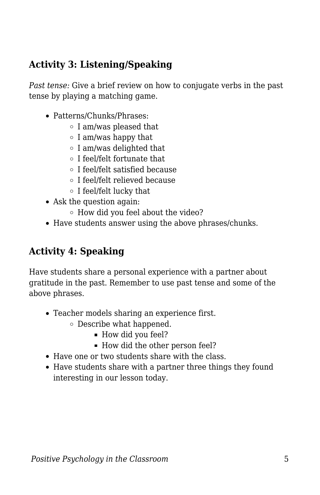## **Activity 3: Listening/Speaking**

*Past tense:* Give a brief review on how to conjugate verbs in the past tense by playing a matching game.

- Patterns/Chunks/Phrases:
	- $\circ$  I am/was pleased that
	- $\circ$  I am/was happy that
	- $\circ$  I am/was delighted that
	- I feel/felt fortunate that
	- I feel/felt satisfied because
	- I feel/felt relieved because
	- I feel/felt lucky that
- Ask the question again:
	- $\circ$  How did you feel about the video?
- Have students answer using the above phrases/chunks.

## **Activity 4: Speaking**

Have students share a personal experience with a partner about gratitude in the past. Remember to use past tense and some of the above phrases.

- Teacher models sharing an experience first.
	- Describe what happened.
		- How did you feel?
		- How did the other person feel?
- Have one or two students share with the class.
- Have students share with a partner three things they found interesting in our lesson today.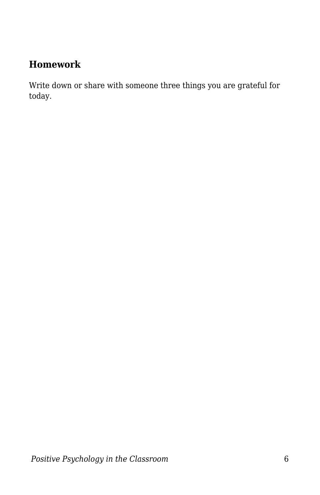## **Homework**

Write down or share with someone three things you are grateful for today.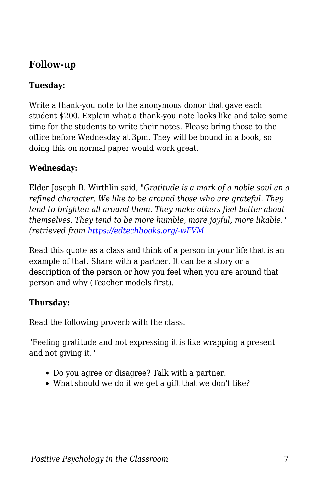## **Follow-up**

#### **Tuesday:**

Write a thank-you note to the anonymous donor that gave each student \$200. Explain what a thank-you note looks like and take some time for the students to write their notes. Please bring those to the office before Wednesday at 3pm. They will be bound in a book, so doing this on normal paper would work great.

#### **Wednesday:**

Elder Joseph B. Wirthlin said, "*Gratitude is a mark of a noble soul an a refined character. We like to be around those who are grateful. They tend to brighten all around them. They make others feel better about themselves. They tend to be more humble, more joyful, more likable." (retrieved from [https://edtechbooks.org/-wFVM](https://www.dailymormonthoughts.com/2015/11/joseph-b-wirthlin-on-living-in-gratitude.html)*

Read this quote as a class and think of a person in your life that is an example of that. Share with a partner. It can be a story or a description of the person or how you feel when you are around that person and why (Teacher models first).

#### **Thursday:**

Read the following proverb with the class.

"Feeling gratitude and not expressing it is like wrapping a present and not giving it."

- Do you agree or disagree? Talk with a partner.
- What should we do if we get a gift that we don't like?